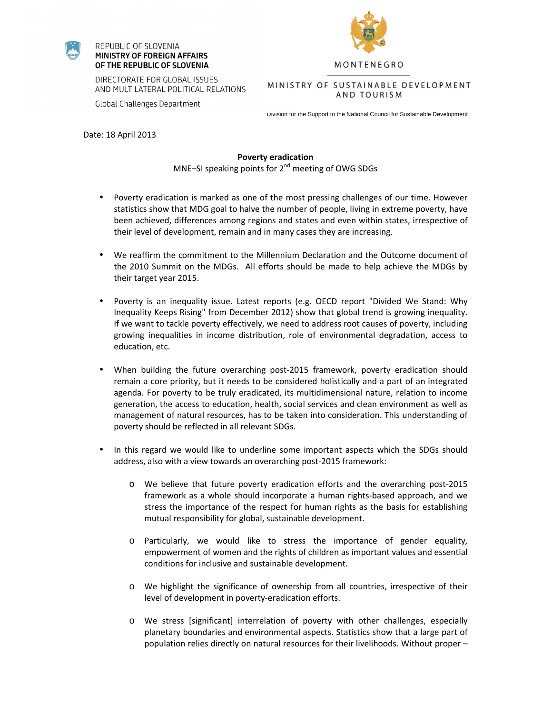## REPUBLIC OF SLOVENIA MINISTRY OF FOREIGN AFFAIRS OF THE REPUBLIC OF SLOVENIA

**Global Challenges Department** 



MONTENEGRO

DIRECTORATE FOR GLOBAL ISSUES AND MULTILATERAL POLITICAL RELATIONS

AND TOURISM

Division for the Support to the National Council for Sustainable Development

Date: 18 April 2013

## **Poverty eradication**

MNE–SI speaking points for  $2^{nd}$  meeting of OWG SDGs

- Poverty eradication is marked as one of the most pressing challenges of our time. However statistics show that MDG goal to halve the number of people, living in extreme poverty, have been achieved, differences among regions and states and even within states, irrespective of their level of development, remain and in many cases they are increasing.
- We reaffirm the commitment to the Millennium Declaration and the Outcome document of the 2010 Summit on the MDGs. All efforts should be made to help achieve the MDGs by their target year 2015.
- Poverty is an inequality issue. Latest reports (e.g. OECD report "Divided We Stand: Why Inequality Keeps Rising" from December 2012) show that global trend is growing inequality. If we want to tackle poverty effectively, we need to address root causes of poverty, including growing inequalities in income distribution, role of environmental degradation, access to education, etc.
- When building the future overarching post-2015 framework, poverty eradication should remain a core priority, but it needs to be considered holistically and a part of an integrated agenda. For poverty to be truly eradicated, its multidimensional nature, relation to income generation, the access to education, health, social services and clean environment as well as management of natural resources, has to be taken into consideration. This understanding of poverty should be reflected in all relevant SDGs.
- In this regard we would like to underline some important aspects which the SDGs should address, also with a view towards an overarching post-2015 framework:
	- o We believe that future poverty eradication efforts and the overarching post-2015 framework as a whole should incorporate a human rights-based approach, and we stress the importance of the respect for human rights as the basis for establishing mutual responsibility for global, sustainable development.
	- o Particularly, we would like to stress the importance of gender equality, empowerment of women and the rights of children as important values and essential conditions for inclusive and sustainable development.
	- o We highlight the significance of ownership from all countries, irrespective of their level of development in poverty-eradication efforts.
	- o We stress [significant] interrelation of poverty with other challenges, especially planetary boundaries and environmental aspects. Statistics show that a large part of population relies directly on natural resources for their livelihoods. Without proper –